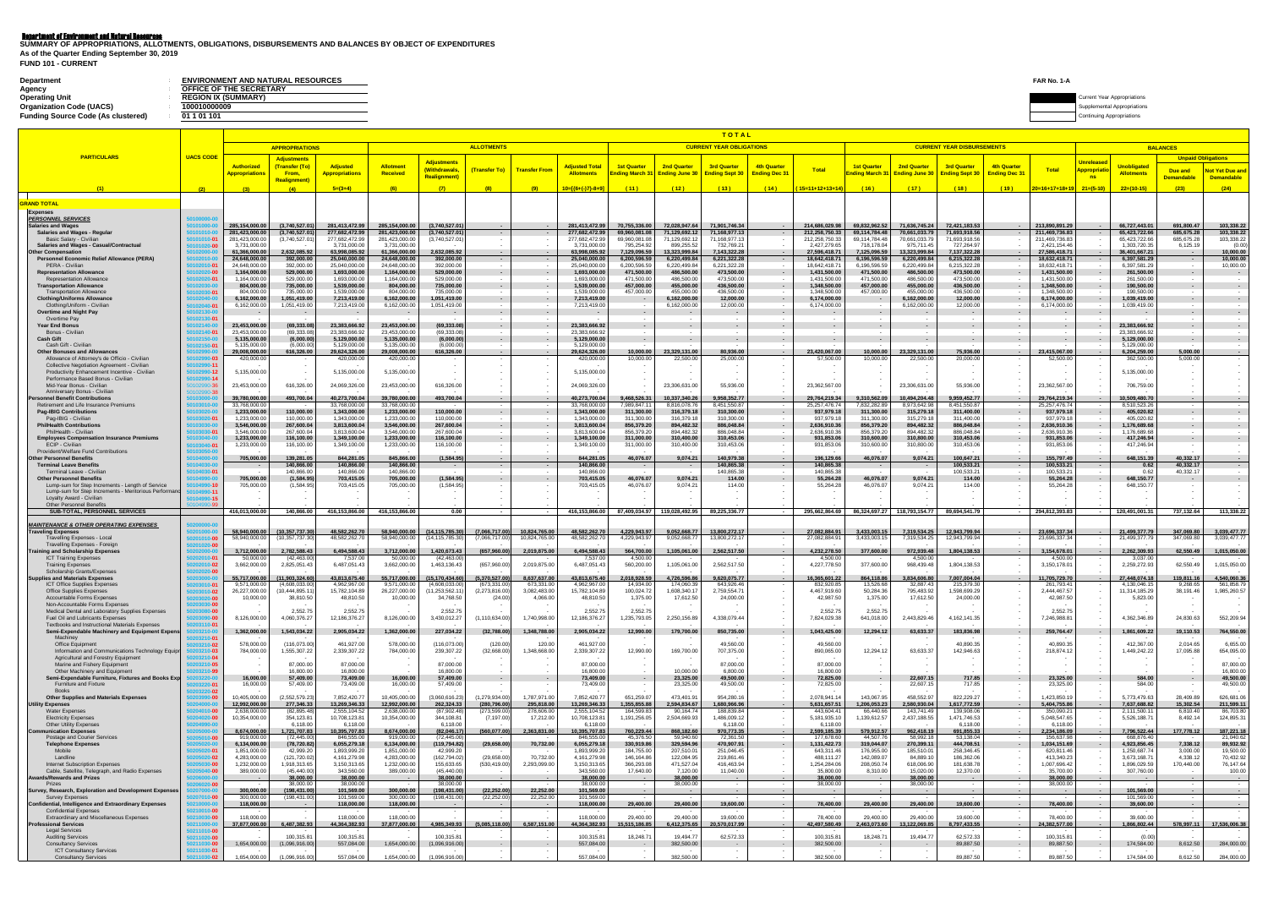|  |  | FUND 101 - CURRENT |
|--|--|--------------------|
|--|--|--------------------|

| <b>Department</b>                         | <b>ENVIRONMENT AND NATURAL RESOURCES</b> | FAR No. 1-A                        |
|-------------------------------------------|------------------------------------------|------------------------------------|
| Agency                                    | OFFICE OF THE SECRETARY                  |                                    |
| <b>Operating Unit</b>                     | <b>REGION IX (SUMMARY)</b>               | <b>Current Year Appropriations</b> |
| <b>Organization Code (UACS)</b>           | 100010000009                             | polemental Appropriations          |
| <b>Funding Source Code (As clustered)</b> | 01 1 01 101                              | ing Appropriations                 |

**Department of Environment and Natural Resources**<br>SUMMARY OF APPROPRIATIONS, ALLOTMENTS, OBLIGATIONS, DISBURSEMENTS AND BALANCES BY OBJECT OF EXPENDITURES **As of the Quarter Ending September 30, 2019**

|                                                                                                          |                           |                                 |                                      |                                 |                                 |                                       |                                 |                                |                                                           |                              |                                               | <b>TOTAL</b>                    |                                |                                 |                                |                                              |                                   |                                           |                                    |                                |                              |                                             |
|----------------------------------------------------------------------------------------------------------|---------------------------|---------------------------------|--------------------------------------|---------------------------------|---------------------------------|---------------------------------------|---------------------------------|--------------------------------|-----------------------------------------------------------|------------------------------|-----------------------------------------------|---------------------------------|--------------------------------|---------------------------------|--------------------------------|----------------------------------------------|-----------------------------------|-------------------------------------------|------------------------------------|--------------------------------|------------------------------|---------------------------------------------|
| <b>PARTICULARS</b>                                                                                       |                           |                                 | <b>APPROPRIATIONS</b>                |                                 |                                 |                                       | <b>ALLOTMENTS</b>               |                                |                                                           |                              |                                               | <b>CURRENT YEAR OBLIGATIONS</b> |                                |                                 |                                |                                              | <b>CURRENT YEAR DISBURSEMENTS</b> |                                           |                                    |                                | <b>BALANCES</b>              |                                             |
|                                                                                                          | <b>UACS CODE</b>          | <b>Authorized</b>               | <b>Adjustments</b><br>(Transfer (To) | <b>Adjusted</b>                 | <b>Allotment</b>                | <b>Adjustments</b>                    |                                 |                                | <b>Adjusted Total</b>                                     | <b>1st Quarter</b>           | <b>2nd Quarter</b>                            | <b>3rd Quarter</b>              | <b>4th Quarter</b>             |                                 | <b>1st Quarter</b>             | <b>2nd Quarter</b>                           | <b>3rd Quarter</b>                | <b>4th Quarter</b>                        | <u>Jnrelease</u>                   | <b>Unobligated</b>             | <b>Unpaid Obligations</b>    |                                             |
|                                                                                                          |                           | <u> Appropriations</u>          | From,<br><b>Realignment</b>          | <b>Appropriations</b>           | <b>Received</b>                 | (Withdrawals,<br><b>Realignment</b> ) | (Transfer To)                   | <b>Transfer From</b>           | <b>Allotments</b>                                         |                              | Ending March 31 Ending June 30 Ending Sept 30 |                                 | <b>Ending Dec 31</b>           | <b>Total</b>                    |                                | nding March 31 Ending June 30 Ending Sept 30 |                                   | <b>Total</b><br><b>Ending Dec 31</b>      | <u><b>\ppropriat</b></u><br>$-$ ns | <b>Allotments</b>              | Due and<br><b>Demandable</b> | <b>Not Yet Due and</b><br><b>Demandable</b> |
|                                                                                                          |                           |                                 |                                      | $5=(3+4)$                       | (6)                             | (7)                                   | (8)                             | (9)                            | $10=[(6+(-)7)-8+9]$                                       | (11)                         | (12)                                          | (13)                            | (14)                           | $(15=11+12+13+14)$              | (16)                           | (17)                                         | (18)                              | $20=16+17+18+19$<br>(19)                  | $21=(5-10)$                        | $22=(10-15)$                   | (23)                         | (24)                                        |
| <b>GRAND TOTAL</b>                                                                                       |                           |                                 |                                      |                                 |                                 |                                       |                                 |                                |                                                           |                              |                                               |                                 |                                |                                 |                                |                                              |                                   |                                           |                                    |                                |                              |                                             |
| <b>Expenses</b>                                                                                          |                           |                                 |                                      |                                 |                                 |                                       |                                 |                                |                                                           |                              |                                               |                                 |                                |                                 |                                |                                              |                                   |                                           |                                    |                                |                              |                                             |
| <b>PERSONNEL SERVICES</b><br><b>Salaries and Wages</b>                                                   |                           | 285,154,000.00                  | (3,740,527.01)                       | 281,413,472.99                  | 285,154,000.00                  | (3,740,527.01)                        |                                 |                                | 281,413,472.99                                            | 70,755,336.00                | 72,028,947.64                                 | 71,901,746.34                   | $\sim$ 100 $\sim$              | 214,686,029.98                  | 69,832,962.52                  | 71,636,745.24                                | 72,421,183.53                     | 213,890,891.29                            |                                    | 66,727,443.01                  | 691.800.47                   | 103,338.22                                  |
| Salaries and Wages - Regular<br>Basic Salary - Civilian                                                  |                           | 281,423,000.00<br>281,423,000.0 | (3,740,527.01)<br>(3,740,527.0)      | 277,682,472.99<br>277,682,472.9 | 281,423,000.00<br>281,423,000.0 | (3,740,527.01)<br>(3,740,527.01)      |                                 |                                | 277,682,472.99<br>277,682,472.9                           | 69,960,081.08<br>69,960,081. | 71,129,692.12<br>71,129,692.1.                | 71,168,977.13<br>1,168,977.1    | $\sim$ 10 $\sim$               | 212,258,750.33<br>212,258,750.3 | 69,114,784.48<br>69,114,784.48 | 70,661,033.79<br>70,661,033.7                | 71,693,918.56<br>71,693,918.56    | 211,469,736.83<br>211,469,736.8           |                                    | 65,423,722.66<br>65,423,722.6  | 685,675.28<br>685,675.2      | 103,338.22<br>103,338.22                    |
| <b>Salaries and Wages - Casual/Contractual</b>                                                           |                           | 3,731,000.0<br>61.366.000.0     | 2,632,085.92                         | 3,731,000.0<br>63.998.085.92    | 3,731,000.0<br>61.366.000.00    |                                       |                                 |                                | 3.731.000.0                                               | 795,254.9                    | 899,255.52<br>13,323,999.84                   | 732,769.2<br>7.143.322.2        | $\sim$                         | 2,427,279.6<br>27.596.418.71    | 718.178.04<br>7.125.096.59     | 975,711.4<br>13.323.999.84                   | 727,264.97<br>7.137.322.28        | 2,421,154.4<br>27.586.418.71              |                                    | 1,303,720.3<br>36.401.667.21   | 6,125.19                     | (0.00)<br>10,000.00                         |
| ther Compensation<br>Personnel Economic Relief Allowance (PERA)                                          |                           | 24,648,000.00                   | 392,000.00                           | 25,040,000.00                   | 24,648,000.00                   | 2,632,085.92<br>392,000.00            |                                 |                                | 63,998,085.92<br>25,040,000.00                            | 7,129,096.5<br>6,200,596.59  | 6,220,499.84                                  | 6,221,322.28                    | <b>Contract</b>                | 18,642,418.7                    | 6,196,596.59                   | 6,220,499.84                                 | 6,215,322.28                      | 18,632,418.71                             |                                    | 6,397,581.29                   | $\sim$                       | 10,000.00                                   |
| PERA - Civilian<br><b>Representation Allowance</b>                                                       |                           | 24,648,000.0<br>1,164,000.0     | 392,000.00<br>529,000.00             | 25,040,000.0<br>1,693,000.00    | 24,648,000.0<br>1,164,000.00    | 392,000.00<br>529,000.00              |                                 |                                | 25,040,000.00<br>1,693,000.00                             | 6,200,596.5<br>471,500.00    | 6,220,499.84<br>486,500.00                    | 6,221,322.28<br>473,500.00      | $\sim$<br>$\sim$ $-$           | 18,642,418.7<br>1,431,500.0     | 6,196,596.59<br>471,500.00     | 6,220,499.84<br>486,500.00                   | 6,215,322.28<br>473,500.00        | 18,632,418.7<br>1,431,500.00              |                                    | 6,397,581.2<br>261,500.00      |                              | 10,000.00<br><b>Contract</b>                |
| <b>Representation Allowance</b><br><b>Transportation Allowance</b>                                       |                           | 1,164,000.0<br>804,000.00       | 529,000.00<br>735,000.00             | 1,693,000.00<br>1,539,000.00    | 1,164,000.00<br>804,000.00      | 529,000.00<br>735,000.00              |                                 |                                | 1,693,000.00<br>1,539,000.00                              | 471,500.00<br>457,000.00     | 486,500.00<br>455,000.00                      | 473,500.00<br>436,500.00        | $\sim$<br>$\sim$               | 1,431,500.0<br>1,348,500.00     | 471,500.00<br>457,000.00       | 486,500.00<br>455,000.00                     | 473,500.00<br>436,500.00          | 1,431,500.00<br>1,348,500.00              |                                    | 261,500.00<br>190,500.00       |                              | $\sim$<br>$\sim$ 100 $\pm$                  |
| <b>Transportation Allowance</b>                                                                          |                           | 804,000.0                       | 735,000.00                           | 1,539,000.0                     | 804.000.00                      | 735,000.00                            |                                 |                                | 1.539.000.00                                              | 457,000.00                   | 455,000.00                                    | 436.500.00                      | $\sim$                         | 1,348,500.0                     | 457.000.00                     | 455.000.00                                   | 436.500.00                        | 1.348.500.00                              |                                    | 190,500.00                     |                              |                                             |
| <b>Clothing/Uniforms Allowance</b><br>Clothing/Uniform - Civilian                                        |                           | 6,162,000.00<br>6,162,000.0     | 1,051,419.00<br>1,051,419.00         | 7,213,419.00<br>7,213,419.00    | 6,162,000.00<br>6,162,000.00    | 1,051,419.00<br>1,051,419.00          |                                 |                                | 7,213,419.00<br>7,213,419.00                              |                              | 6,162,000.00<br>6,162,000.00                  | 12,000.00<br>12,000.00          | $\sim$<br>$\sim$               | 6,174,000.00<br>6,174,000.0     |                                | 6,162,000.00<br>6,162,000.00                 | 12,000.00<br>12,000.00            | 6,174,000.00<br>6,174,000.00              |                                    | 1,039,419.00<br>1,039,419.00   |                              | $\sim$ $-$                                  |
| <b>Overtime and Night Pay</b><br>Overtime Pay                                                            |                           |                                 |                                      | $\sim$ $-$                      |                                 | $\sim$                                |                                 |                                |                                                           |                              |                                               | $\sim$                          | $\sim$                         |                                 |                                |                                              | $\sim$                            |                                           |                                    |                                |                              | $\sim$ $-$                                  |
| <b>Year End Bonus</b><br>Bonus - Civilian                                                                |                           | 23,453,000.0<br>23,453,000.0    | (69,333.08<br>(69.333.08             | 23,383,666.92<br>23,383,666.92  | 23,453,000.00<br>23,453,000.0   | (69, 333.08)<br>(69.333.08            |                                 |                                | 23,383,666.92<br>23,383,666.92                            | $\sim$                       |                                               |                                 | $\sim$<br>$\sim$               | $\sim$                          |                                |                                              | $\sim$                            |                                           |                                    | 23,383,666.92<br>23,383,666.92 |                              | $\sim$ 100 $\pm$                            |
| <b>Cash Gift</b>                                                                                         |                           | 5,135,000.0                     | (6,000.00)                           | 5,129,000.00                    | 5,135,000.00                    | (6,000.00)                            |                                 |                                | 5,129,000.00                                              |                              |                                               |                                 | $\sim$                         | $\sim$                          |                                |                                              | $\sim$                            |                                           |                                    | 5,129,000.00                   |                              | $\sim$ 100 $\pm$                            |
| Cash Gift - Civilian<br><b>Other Bonuses and Allowances</b>                                              |                           | 5,135,000.0<br>29,008,000.00    | (6,000.00)<br>616,326.00             | 5,129,000.00<br>29,624,326.00   | 5,135,000.00<br>29,008,000.00   | (6.000.00)<br>616,326.00              |                                 | $\sim$                         | 5,129,000.00<br>29,624,326.00                             | 10,000.00                    | 23,329,131.00                                 | 80,936.00                       | $\sim$<br>$\sim 100$           | 23,420,067.00                   | 10,000.00                      | 23,329,131.00                                | 75,936.00                         | 23,415,067.00<br><b>Contract Contract</b> |                                    | 5,129,000.0<br>6,204,259.00    | 5,000.00                     | <b>Contract</b>                             |
| Allowance of Attorney's de Officio - Civilian<br>Collective Negotiation Agreement - Civilian             |                           | 420,000.0                       |                                      | 420,000.0                       | 420,000.00                      | $\sim$                                |                                 |                                | 420,000.00                                                | 10,000.00                    | 22,500.00                                     | 25,000.00                       |                                | 57,500.0                        | 10,000.00                      | 22,500.00                                    | 20,000.00                         | 52,500.00                                 |                                    | 362,500.0                      | 5,000.00                     |                                             |
| Productivity Enhancement Incentive - Civilian<br>Performance Based Bonus - Civilian                      |                           | 5,135,000.00                    |                                      | 5,135,000.00                    | 5,135,000.00                    | $\sim$                                |                                 |                                | 5,135,000.00                                              |                              |                                               |                                 |                                |                                 |                                |                                              |                                   |                                           |                                    | 5,135,000.00                   |                              |                                             |
| Mid-Year Bonus - Civilian                                                                                |                           | 23,453,000.00                   | 616,326.00                           | 24,069,326.00                   | 23,453,000.00                   | 616,326.00                            |                                 |                                | 24,069,326.00                                             |                              | 23,306,631.00                                 | 55,936.00                       |                                | 23.362.567.00                   |                                | 23,306,631.00                                | 55,936.00                         | 23,362,567.00                             |                                    | 706,759.00                     |                              |                                             |
| Anniversary Bonus - Civilian<br>ersonnel Benefit Contributions                                           |                           | 39,780,000.0                    | 493,700.04                           | 40,273,700.0                    | 39,780,000.0                    | 493,700.04                            |                                 |                                | 40,273,700.04                                             | 9,468,526.3                  | 10,337,340.26                                 | 9,958,352.77                    | $\sim 100$                     | 29,764,219.3                    | 9,310,562.09                   | 10,494,204.4                                 | ,959,452.77                       | 29,764,219.3                              |                                    | 10,509,480.7                   |                              |                                             |
| Retirement and Life Insurance Premiums<br><b>Pag-IBIG Contributions</b>                                  |                           | 33,768,000.0<br>1,233,000.0     | 110,000.00                           | 33,768,000.00<br>1,343,000.00   | 33,768,000.00<br>1,233,000.00   | 110,000.00                            |                                 |                                | 33,768,000.00<br>1,343,000.0                              | 7,989,847.1<br>311,300.00    | 8,816,078.76<br>316,379.18                    | 8,451,550.87<br>310,300.00      | $\sim$<br>$\sim$ $-$           | 25, 257, 476.7<br>937,979.1     | 7,832,282.89<br>311,300.00     | 8,973,642.98<br>315,279.18                   | 8,451,550.87<br>311,400.00        | 25,257,476.74<br>937,979.1                |                                    | 8,510,523.26<br>405,020.82     |                              |                                             |
| Pag-IBIG - Civilian<br><b>PhilHealth Contributions</b>                                                   |                           | 1.233.000.0<br>3,546,000.0      | 110,000.00<br>267,600.04             | 1,343,000.0<br>3,813,600.0      | 1.233.000.0<br>3,546,000.00     | 110,000.00<br>267,600.04              |                                 |                                | 1.343.000.00<br>3,813,600.04                              | 311.300.00<br>856,379.20     | 316,379.18<br>894,482.32                      | 310,300.00<br>886,048.84        | $\sim$<br>$\sim$               | 937.979.1<br>2,636,910.3        | 311,300.00<br>856,379.20       | 315,279.18<br>894,482.32                     | 311,400.00<br>886,048.84          | 937.979.1<br>2,636,910.36                 |                                    | 405.020.82<br>1,176,689.68     |                              | $\sim$<br>$\sim$ $-$                        |
| PhilHealth - Civilian                                                                                    |                           | 3,546,000.0                     | 267,600.04                           | 3,813,600.04                    | 3,546,000.00                    | 267,600.04                            |                                 |                                | 3,813,600.04                                              | 856,379.20                   | 894,482.32                                    | 886,048.84                      | $\sim$                         | 2,636,910.3                     | 856,379.20                     | 894,482.32                                   | 886,048.84                        | 2,636,910.36                              |                                    | 1,176,689.6                    |                              | $\sim$                                      |
| <b>Employees Compensation Insurance Premiums</b><br>ECIP - Civilian                                      |                           | 1,233,000.00<br>1,233,000.0     | 116,100.00<br>116,100.00             | 1,349,100.00<br>1,349,100.00    | 1,233,000.00<br>1,233,000.00    | 116,100.00<br>116,100.00              |                                 |                                | 1,349,100.00<br>1,349,100.00                              | 311,000.00<br>311,000.00     | 310,400.00<br>310,400.00                      | 310,453.06<br>310,453.06        | $\sim$<br>$\sim$               | 931,853.06<br>931,853.0         | 310,600.00<br>310,600.00       | 310,800.00<br>310,800.00                     | 310,453.06<br>310,453.06          | 931,853.06<br>931,853.06                  |                                    | 417,246.94<br>417,246.94       |                              |                                             |
| Provident/Welfare Fund Contributions<br><b>Other Personnel Benefits</b>                                  |                           | 705.000.0                       | 139,281.05                           | 844.281.05                      | 845.866.00                      | (1.584.95)                            |                                 |                                | 844.281.05                                                | 46.076.07                    | 9,074.21                                      | 140.979.38                      | $\sim$ 100 $\mu$               | 196,129.66                      | 46.076.07                      | 9.074.21                                     | 100.647.21                        | 155.797.49                                |                                    | 648.151.39                     | 40.332.17                    | $\sim$ 100 $\mu$                            |
| <b>Terminal Leave Benefits</b><br>Terminal Leave - Civilian                                              |                           |                                 | 140,866.00<br>140.866.00             | 140,866.00<br>140,866.0         | 140,866.00<br>140.866.0         | $\sim$                                |                                 |                                | 140.866.00<br>140.866.00                                  |                              |                                               | 140,865.38<br>140,865.3         | $\sim$ $-$                     | 140,865.38<br>140,865.3         |                                |                                              | 100,533.21<br>100,533.21          | 100,533.21<br>100,533.2                   |                                    | 0.62<br>06                     | 40,332.17<br>40,332.1        |                                             |
| <b>Other Personnel Benefits</b>                                                                          |                           | 705,000.0                       | (1,584.95)                           | 703,415.05                      | 705,000.00                      | (1, 584.95)                           |                                 |                                | 703,415.05                                                | 46,076.07                    | 9,074.21                                      | 114.00                          | $\sim$                         | 55,264.28                       | 46,076.07                      | 9,074.21                                     | 114.00                            | 55,264.28                                 |                                    | 648,150.77                     |                              |                                             |
| Lump-sum for Step Increments - Length of Service<br>Lump-sum for Step Increments - Meritorious Performan |                           | 705,000.0                       | (1,584.95)                           | 703,415.05                      | 705,000.0                       | (1,584.95)                            |                                 |                                | 703,415.05                                                | 46,076.0                     | 9,074.21                                      | 114.00                          |                                | 55,264.2                        | 46,076.0                       | 9,074.2                                      | 114.00                            | 55,264.2                                  |                                    | 648,150.7                      |                              |                                             |
| Loyalty Award - Civilian<br>Other Personnel Benefit                                                      |                           |                                 |                                      |                                 |                                 |                                       |                                 |                                |                                                           |                              |                                               |                                 |                                |                                 |                                |                                              |                                   |                                           |                                    |                                |                              |                                             |
| SUB-TOTAL, PERSONNEL SERVICES                                                                            |                           | 416,013,000.00                  |                                      | 140,866.00 416,153,866.00       | 416,153,866.00                  | 0.00                                  | $\sim$                          |                                | 416,153,866.00 87,409,034.97 119,028,492.95 89,225,336.77 |                              |                                               |                                 | $\sim 100$ km s $^{-1}$        | 295,662,864.69                  |                                | 86,324,697.27 118,793,154.77 89,694,541.79   |                                   | 294,812,393.83                            |                                    | $-$ 120,491,001.31             | 737,132.64                   | 113,338.22                                  |
| <b>MAINTENANCE &amp; OTHER OPERATING EXPENSES</b>                                                        |                           |                                 |                                      |                                 |                                 |                                       |                                 |                                |                                                           |                              |                                               |                                 | $\sim$ $\sim$                  |                                 |                                |                                              |                                   |                                           |                                    |                                |                              |                                             |
| <b>Traveling Expenses</b><br><b>Travelling Expenses - Local</b>                                          |                           | 58,940,000.00<br>58,940,000.0   | (10,357,737.30<br>(10, 357, 737.30)  | 48,582,262.70<br>48,582,262.7   | 58,940,000.00<br>58,940,000.00  | (14, 115, 785.30)<br>(14,115,785.30)  | (7,066,717.00<br>(7,066,717.00) | 10,824,765.00<br>10,824,765.00 | 48,582,262.70<br>48,582,262.7                             | 4,229,943.97<br>4,229,943.97 | 9,052,668.77<br>9,052,668.77                  | 13,800,272.17<br>13,800,272.17  |                                | 27,082,884.91<br>27,082,884.9   | 3,433,003.15<br>3,433,003.1    | 7,319,534.2<br>7,319,534.25                  | 12,943,799.94<br>12,943,799.94    | 23,696,337.34<br>23,696,337.34            |                                    | 21,499,377.79<br>21,499,377.7  | 347,069.80<br>347,069.80     | 3,039,477.77<br>3,039,477.77                |
| Travelling Expenses - Foreign<br><b>Training and Scholarship Expenses</b>                                |                           | 3,712,000.0                     | 2,782,588.43                         | 6,494,588.43                    | 3,712,000.00                    | 1,420,673.43                          | (657,960.00                     | 2,019,875.00                   | 6,494,588.43                                              | 564,700.00                   | 1,105,061.0                                   | 2,562,517.50                    | $\sim 100$                     | 4,232,278.5                     | 377,600.00                     | 972,939.48                                   | 1,804,138.53                      | 3,154,678.01                              |                                    | 2,262,309.9                    | 62,550.49                    | 1,015,050.00                                |
| <b>ICT Training Expenses</b><br><b>Training Expenses</b>                                                 |                           | 50,000.0<br>3,662,000.0         | (42, 463.00)<br>2,825,051.43         | 7,537.00<br>6,487,051.43        | 50.000.00<br>3,662,000.00       | (42, 463.00)<br>1,463,136.43          | (657,960.00                     | 2,019,875.00                   | 7,537.00<br>6,487,051.43                                  | 4,500.00<br>560,200.00       | 1,105,061.00                                  | 2,562,517.50                    | $\sim$                         | 4.500.0<br>4,227,778.5          | 377,600.00                     | 4.500.0<br>968,439.48                        | 1,804,138.53                      | 4.500.0<br>3,150,178.0                    |                                    | 3.037.0<br>2,259,272.9         | 62,550.49                    | 1,015,050.00                                |
| Scholarship Grants/Expenses<br><b>Supplies and Materials Expenses</b>                                    |                           | 55,717,000.0                    | 11,903,324.60                        | 43,813,675.40                   | 55,717,000.00                   | (15,170,434.60                        | (5,370,527.00                   | 8,637,637.00                   | 43,813,675.40                                             | 2,018,928.59                 | 4,726,596.86                                  | 9,620,075.77                    | $\sim$ $-$                     | 16,365,601.2                    | 864,118.86                     | 3,834,606.8                                  | 7,007,004.04                      | 11,705,729.70                             |                                    | 27,448,074.1                   | 119.811.16                   | 4,540,060.36                                |
| <b>ICT Office Supplies Expenses</b>                                                                      |                           | 9,571,000.0                     | (4,608,033.00                        | 4,962,967.0                     | 9,571,000.00                    | (4,608,033.00)                        | (673.331.0                      | 673,331.0                      | 4,962,967.00                                              | 14,934.00                    | 174,060.3                                     | 643,926.46                      | $\sim$                         | 832,920.8                       | 13,526.6                       | 32.887.43                                    | 215,379.30                        | 261,793.4                                 |                                    |                                | 9.268.6                      | 561,858.79                                  |
| <b>Office Supplies Expenses</b><br>Accountable Forms Expenses                                            |                           | 26,227,000.0<br>10,000.00       | (10, 444, 895.1)<br>38,810.50        | 15,782,104.89<br>48,810.50      | 26,227,000.00<br>10,000.00      | (11,253,562.11<br>34,768.50           | (2, 273, 816.00)<br>(24.00)     | 3,082,483.00                   | 15,782,104.89                                             |                              | ,608,340.17                                   |                                 |                                |                                 |                                |                                              |                                   |                                           |                                    | 4,130,046.1                    | 38,191.46                    | 1,985,260.57                                |
| Non-Accountable Forms Expense:<br>Medical Dental and Laboratory Supplies Expenses                        |                           |                                 | 2.552.7                              |                                 |                                 |                                       |                                 | 4,066.00                       | 48,810.50                                                 | 100,024.72<br>1,375.00       | 17,612.50                                     | 2,759,554.7<br>24,000.00        | $\sim$<br>$\sim$               | 4,467,919.6<br>42,987.50        | 50,284.3<br>1,375.00           | 795,483.92<br>17,612.50                      | 1,598,699.29<br>24,000.00         | 2.444.467.5<br>42,987.50                  |                                    | 11,314,185.2<br>5,823.00       |                              |                                             |
| Fuel Oil and Lubricants Expenses<br><b>Textbooks and Instructional Materials Expenses</b>                |                           |                                 |                                      |                                 |                                 |                                       |                                 |                                |                                                           |                              |                                               |                                 | $\sim$                         |                                 |                                |                                              |                                   |                                           |                                    |                                |                              |                                             |
| Semi-Expendable Machinery and Equipment Expens                                                           |                           | 8,126,000.00                    | 4,060,376.27                         | 2,552.7<br>12,186,376.27        | 8,126,000.00                    | 2,552.75<br>3,430,012.27              | (1, 110, 634.00)                | 1,740,998.00                   | 2.552.7<br>12,186,376.27                                  | 2,552.7<br>1,235,793.05      | 2,250,156.89                                  | 4,338,079.44                    | $\sim$                         | 2,552.7<br>7,824,029.38         | 2,552.7<br>641,018.00          | 2,443,829.46                                 | 4, 162, 141. 35                   | 2,552.75<br>7,246,988.81                  |                                    | 4,362,346.89                   | 24,830.63                    | 552,209.94                                  |
|                                                                                                          |                           | 1,362,000.00                    | 1,543,034.22                         | 2,905,034.22                    | 1,362,000.00                    | 227,034.22                            | (32,788.00)                     | 1,348,788.00                   | 2,905,034.22                                              | 12,990.00                    | 179,700.00                                    | 850,735.00                      | $\sim$                         | 1,043,425.00                    | 12,294.12                      | 63,633.37                                    | 183,836.98                        | 259,764.47                                |                                    | 1,861,609.22                   | 19,110.53                    | 764,550.00                                  |
| Machiney<br>Office Equipment                                                                             | :10-0:                    | 578,000.0                       | (116,073.00)                         | 461,927.00                      | 578,000.00                      | (116,073.00)                          | (120.00)                        | 120.00                         | 461,927.00                                                |                              |                                               | 49,560.00                       | $\sim$<br>$\sim$               | 49,560.00                       |                                |                                              | 40,890.35                         | 40,890.35                                 |                                    | 412,367.00                     | 2,014.65                     | 6,655.00                                    |
| Information and Communications Technology Equipr<br>Agricultural and Forestry Equipment                  |                           | 784,000.00                      | 1,555,307.22                         | 2,339,307.22                    | 784,000.00                      | 239,307.22                            | (32,668.00)                     | 1,348,668.00                   | 2,339,307.22                                              | 12,990.00                    | 169,700.00                                    | 707,375.00                      | $\sim$<br>$\sim$               | 890,065.00                      | 12,294.12                      | 63,633.37                                    | 142,946.63                        | 218,874.12                                |                                    | 1,449,242.22                   | 17,095.88                    | 654,095.00                                  |
| Marine and Fishery Equipment                                                                             |                           | $\sim$                          | 87,000.00                            | 87,000.00                       |                                 | 87,000.00                             |                                 |                                | 87,000.00                                                 | $\sim$                       |                                               | 87,000.00                       | $\sim$                         | 87,000.00                       | $\sim$                         |                                              |                                   |                                           |                                    | $\sim$                         |                              | 87,000.00                                   |
| Other Machinery and Equipment<br>Semi-Expendable Furniture, Fixtures and Books Exp                       |                           | 16,000.00                       | 16,800,00<br>57,409.00               | 16,800.00<br>73,409.00          | 16,000.00                       | 16.800.00<br>57,409.00                | $\sim$                          | $\sim$                         | 16.800.00<br>73,409.00                                    | $\sim$                       | 10.000.00<br>23,325.00                        | 6,800.00<br>49,500.00           | $\sim$<br>$\sim$ $-$           | 16,800.00<br>72,825.00          | $\sim$                         | 22,607.15                                    | 717.85                            | 23,325.00<br>$\sim$                       |                                    | 584.00                         | $\sim$                       | 16,800.00<br>49,500.00                      |
| Furniture and Fixture<br><b>Books</b>                                                                    |                           | 16,000.00                       | 57,409.00                            | 73,409.00                       | 16,000.00                       | 57,409.00                             |                                 |                                | 73,409.00                                                 |                              | 23,325.00                                     | 49,500.00                       | $\sim$                         | 72,825.00                       |                                | 22,607.15                                    | 717.85                            | 23,325.00                                 |                                    | 584.00                         |                              | 49,500.00                                   |
| <b>Other Supplies and Materials Expenses</b><br><b>Utility Expenses</b>                                  |                           | 10,405,000.00<br>12,992,000.00  | (2,552,579.23)<br>277,346.33         | 7,852,420.77<br>13,269,346.33   | 10,405,000.00<br>12,992,000.00  | (3,060,616.23)<br>262,324.33          | (1,279,934.00)<br>(280, 796.00) | 1,787,971.00<br>295,818.00     | 7,852,420.77<br>13,269,346.33                             | 651,259.07<br>1,355,855.88   | 473,401.91<br>2,594,834.67                    | 954,280.16<br>1,680,966.96      | $\sim$                         | 2,078,941.14<br>5,631,657.51    | 143,067.95<br>1,206,053.23     | 458,552.97<br>2,580,930.04                   | 822,229.27<br>1,617,772.59        | 1,423,850.19<br>5,404,755.86              |                                    | 5,773,479.63<br>7,637,688.82   | 28,409.89<br>15,302.54       | 626,681.06<br>211,599.11                    |
| <b>Water Expenses</b>                                                                                    |                           | 2,638,000.0                     | (82, 895.48)                         | 2,555,104.52                    | 2,638,000.00                    | (87,902.48)                           | (273, 599.00)                   | 278,606.00                     | 2,555,104.52                                              | 164,599.83                   | 90,164.74                                     | 188,839.84                      | $\sim$                         | 443,604.4                       | 66,440.66                      | 143,741.49                                   | 139,908.06                        | 350,090.21                                |                                    | 2,111,500.1                    | 6,810.40                     | 86,703.80                                   |
| <b>Electricity Expenses</b><br>Other Utility Expenses                                                    |                           | 10,354,000.00                   | 354,123.81<br>6,118.00               | 10,708,123.81<br>6,118.00       | 10,354,000.00                   | 344,108.81<br>6,118.00                | (7, 197.00)                     | 17,212.00                      | 10,708,123.81<br>6,118.00                                 | 1,191,256.05                 | 2,504,669.93                                  | 1,486,009.12<br>6,118.00        | $\sim$<br>$\sim$ 100 $\mu$     | 5,181,935.1<br>6,118.0          | 1,139,612.57                   | 2,437,188.55                                 | 1,471,746.53<br>6,118.00          | 5,048,547.65<br>6,118.00                  |                                    | 5,526,188.7                    | 8,492.14                     | 124,895.31                                  |
| <b>Communication Expenses</b><br>Postage and Courier Services                                            |                           | 8,674,000.0<br>919,000.00       | 1,721,707.83<br>(72, 445.00)         | 10,395,707.83<br>846,555.00     | 8,674,000.0<br>919,000.00       | (82,046.17)<br>(72, 445.00)           | (560, 077.00)                   | 2,363,831.00                   | 10,395,707.83<br>846,555.00                               | 760,229.44<br>45,376.50      | 868,182.60<br>59,940.60                       | 970,773.35<br>72,361.50         | $\sim 10^{-1}$<br>$\sim$ $-$   | 2,599,185.3<br>177,678.6        | 579,912.57<br>44,507.76        | 962,418.19<br>58,992.18                      | 691,855.33<br>53,138.04           | 2,234,186.09<br>156,637.98                |                                    | 7,796,522.4<br>668,876,40      | 177,778.12                   | 187,221.18<br>21,040.62                     |
| <b>Telephone Expenses</b><br>Mobile                                                                      |                           | 6,134,000.00<br>1,851,000.0     | (78, 720.82)<br>42,999.20            | 6,055,279.18<br>1,893,999.20    | 6,134,000.00<br>1,851,000.00    | (119, 794.82)<br>42,999.20            | (29, 658.00)                    | 70,732.00                      | 6,055,279.18<br>1,893,999.20                              | 330,919.86<br>184,755.00     | 329,594.96<br>207,510.01                      | 470,907.91<br>251,046.45        | $\sim$ $-$<br>$\sim$           | 1,131,422.73<br>643,311.4       | 319,044.07<br>176,955.00       | 270,399.11<br>185,510.01                     | 444,708.51<br>258,346.45          | 1,034,151.69<br>620,811.46                |                                    | 4,923,856.45<br>1,250,687.7    | 7,338.12<br>3,000.00         | 89,932.92<br>19,500.00                      |
| Landline                                                                                                 |                           | 4,283,000.00                    | (121, 720.02)                        | 4,161,279.98                    | 4,283,000.00                    | (162, 794.02)                         | (29,658.00)                     | 70,732.00                      | 4, 161, 279.98                                            | 146,164.86                   | 122,084.95                                    | 219,861.46                      | $\sim$                         | 488,111.27                      | 142,089.07                     | 84,889.10                                    | 186,362.06                        | 413,340.23                                |                                    | 3,673,168.7                    | 4,338.12                     | 70,432.92                                   |
| <b>Internet Subscription Expenses</b><br>Cable, Satellite, Telegraph, and Radio Expenses                 |                           | 1,232,000.00<br>389,000.00      | 1,918,313.65<br>(45, 440.00)         | 3,150,313.65<br>343,560.00      | 1,232,000.00<br>389,000.00      | 155,633.65<br>(45, 440.00)            | (530, 419.00)                   | 2,293,099.00                   | 3,150,313.65<br>343,560.00                                | 366,293.08<br>17,640.00      | 471,527.04<br>7,120.00                        | 416,463.94<br>11,040.00         | $\sim$<br>$\sim$               | 1,254,284.06<br>35,800.00       | 208,050.74<br>8,310.00         | 618,006.90<br>15,020.00                      | 181,638.78<br>12,370.00           | 1,007,696.42<br>35,700.00                 |                                    | 1,896,029.59<br>307,760.00     | 170,440.00                   | 76,147.64<br>100.00                         |
| <b>Awards/Rewards and Prizes</b><br>Prizes                                                               |                           | $\sim$                          | 38,000.00<br>38,000.00               | 38,000.00<br>38,000.00          |                                 | 38,000.00<br>38,000.00                |                                 |                                | 38,000.00<br>38,000.00                                    |                              | 38,000.00<br>38,000.00                        |                                 | $\sim 10^{-1}$<br>$\sim$       | 38,000.00<br>38,000.00          | $\sim$ $-$                     | 38,000.00<br>38,000.00                       |                                   | 38,000.00<br>38,000.00                    |                                    | $\sim$                         |                              | <b>Contract Contract</b>                    |
| Survey, Research, Exploration and Development Expenses<br><b>Survey Expenses</b>                         |                           | 300,000.0<br>300,000.0          | (198, 431.00)<br>(198, 431.00)       | 101,569.00<br>101,569.00        | 300,000.00<br>300,000.00        | 198.431.00<br>(198, 431.00)           | (22, 252.00)<br>(22, 252.00)    | 22,252.00<br>22,252.00         | 101.569.00<br>101,569.00                                  |                              |                                               |                                 | $\sim$ $\sim$<br>$\sim$ $\sim$ |                                 |                                |                                              |                                   |                                           |                                    | 101,569.00<br>101,569.00       |                              | $\sim$ 100 $\mu$                            |
| <b>Confidential, Intelligence and Extraordinary Expenses</b>                                             |                           | 118.000.0                       |                                      | 118,000.00                      | 118,000.00                      | $\sim$                                |                                 | $\sim$                         | 118,000.00                                                | 29.400.00                    | 29.400.00                                     | 19.600.00                       | $\sim 10^{-1}$                 | 78,400.00                       | 29.400.00                      | 29.400.00                                    | 19.600.00                         | 78.400.00                                 |                                    | 39,600.00                      | $\sim$ $\sim$                | <b>Contract</b>                             |
| <b>Confidential Expenses</b><br><b>Extraordinary and Miscellaneous Expenses</b>                          |                           | 118,000.0                       |                                      | 118,000.00                      | 118,000.00                      | $\sim$                                |                                 |                                | 118,000.00                                                | 29,400.00                    | 29,400.00                                     | 19,600.00                       | $\sim$<br>$\sim$               | 78,400.00                       | 29,400.00                      | 29,400.00                                    | 19,600.00                         | 78,400.00                                 |                                    | 39,600.00                      |                              |                                             |
| <b>Professional Services</b><br><b>Legal Services</b>                                                    | 50211010-0                | 37,877,000.00                   | 6,487,382.93                         | 44,364,382.93                   | 37,877,000.00                   | 4,985,349.93                          | (5,085,118.00)                  | 6.587.151.00                   | 44,364,382.93                                             | 5,515,186.85                 | 6,412,375.65                                  | 0,570,017.99                    | $\sim$<br>$\sim$               | 42,497,580.49                   | 2,463,073.60                   | 13,122,069.85                                | ,797,433.55                       | 24,382,577.00                             |                                    | 1,866,802.44                   | 578,997.11                   | 17,536,006.38                               |
| <b>Auditing Services</b><br><b>Consultancy Services</b>                                                  | 50211020-0<br>50211030-00 | 1,654,000.00                    | 100,315.81<br>(1,096,916.00)         | 100,315.81<br>557,084.00        | 1,654,000.00                    | 100,315.81<br>(1,096,916.00)          |                                 |                                | 100,315.81<br>557,084.00                                  | 18,248.71                    | 19,494.77<br>382,500.00                       | 62,572.33                       | $\sim 10^{-1}$<br>$\sim$       | 100,315.81<br>382,500.00        | 18,248.7                       | 19,494.77                                    | 62,572.33<br>89,887.50            | 100,315.81<br>89,887.50                   |                                    | (0.00)<br>174,584.00           | 8,612.50                     | 284,000.00                                  |
| <b>ICT Consultancy Services</b><br><b>Consultancy Services</b>                                           | 50211030-01<br>0211030-02 | 1,654,000.00                    | (1,096,916.00)                       | 557,084.00                      | 1,654,000.00                    | (1,096,916.00)                        |                                 |                                | 557,084.00                                                |                              | 382,500.00                                    |                                 | $\sim$                         | 382,500.00                      |                                |                                              | 89,887.50                         | 89,887.50                                 |                                    | 174,584.00                     | 8,612.50                     | 284,000.00                                  |